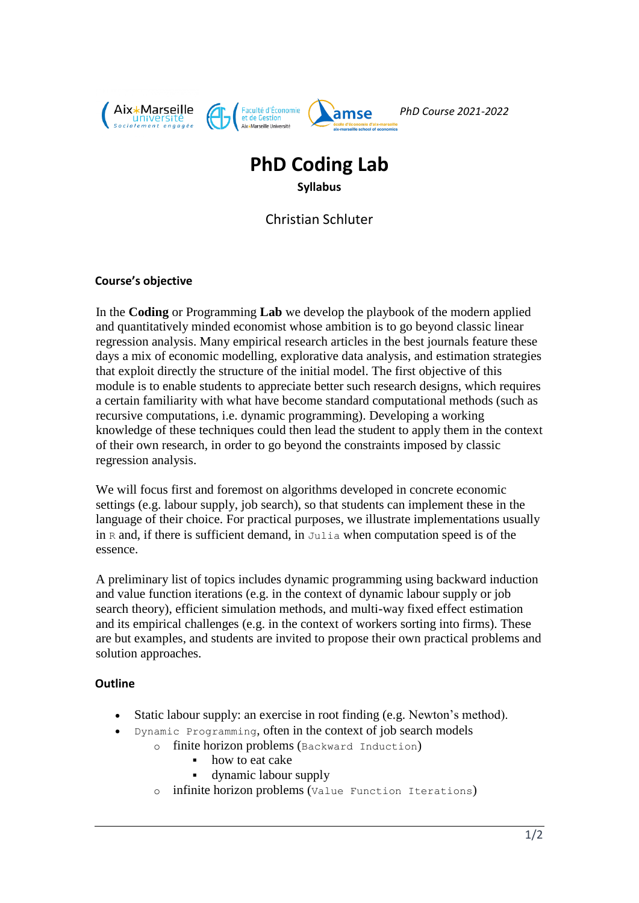

# **PhD Coding Lab**

**Syllabus**

Christian Schluter

# **Course's objective**

In the **Coding** or Programming **Lab** we develop the playbook of the modern applied and quantitatively minded economist whose ambition is to go beyond classic linear regression analysis. Many empirical research articles in the best journals feature these days a mix of economic modelling, explorative data analysis, and estimation strategies that exploit directly the structure of the initial model. The first objective of this module is to enable students to appreciate better such research designs, which requires a certain familiarity with what have become standard computational methods (such as recursive computations, i.e. dynamic programming). Developing a working knowledge of these techniques could then lead the student to apply them in the context of their own research, in order to go beyond the constraints imposed by classic regression analysis.

We will focus first and foremost on algorithms developed in concrete economic settings (e.g. labour supply, job search), so that students can implement these in the language of their choice. For practical purposes, we illustrate implementations usually in  $R$  and, if there is sufficient demand, in Julia when computation speed is of the essence.

A preliminary list of topics includes dynamic programming using backward induction and value function iterations (e.g. in the context of dynamic labour supply or job search theory), efficient simulation methods, and multi-way fixed effect estimation and its empirical challenges (e.g. in the context of workers sorting into firms). These are but examples, and students are invited to propose their own practical problems and solution approaches.

# **Outline**

- Static labour supply: an exercise in root finding (e.g. Newton's method).
	- Dynamic Programming, often in the context of job search models
		- o finite horizon problems (Backward Induction)
			- how to eat cake
			- dynamic labour supply
		- o infinite horizon problems (Value Function Iterations)